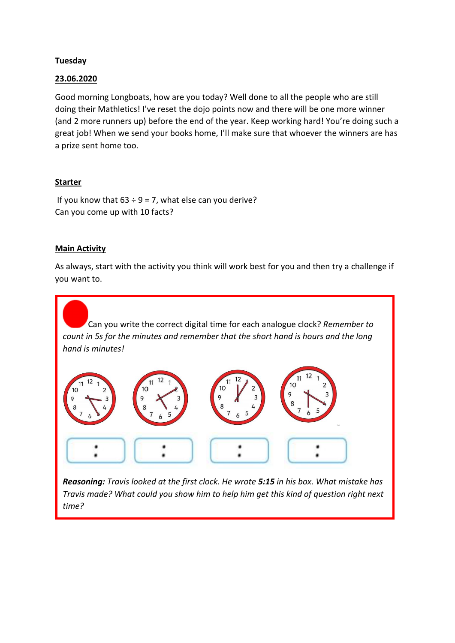## **Tuesday**

### 23.06.2020

Good morning Longboats, how are you today? Well done to all the people who are still doing their Mathletics! I've reset the dojo points now and there will be one more winner (and 2 more runners up) before the end of the year. Keep working hard! You're doing such a great job! When we send your books home, I'll make sure that whoever the winners are has a prize sent home too.

## Starter

If you know that  $63 \div 9 = 7$ , what else can you derive? Can you come up with 10 facts?

## Main Activity

As always, start with the activity you think will work best for you and then try a challenge if you want to.

Can you write the correct digital time for each analogue clock? *Remember to count in 5s for the minutes and remember that the short hand is hours and the long hand is minutes!*



*Reasoning: Travis looked at the first clock. He wrote 5:15 in his box. What mistake has Travis made? What could you show him to help him get this kind of question right next time?*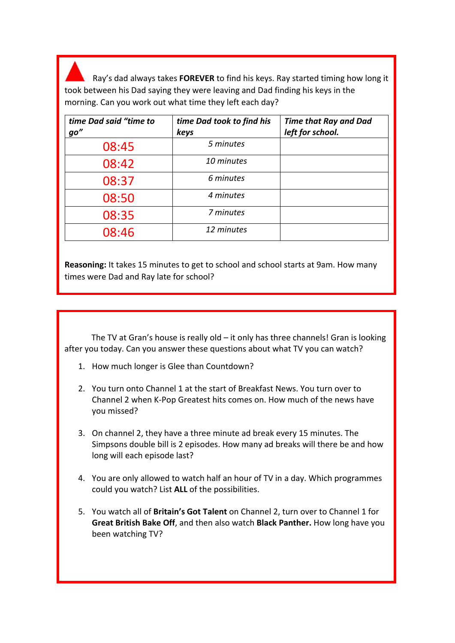Ray's dad always takes FOREVER to find his keys. Ray started timing how long it took between his Dad saying they were leaving and Dad finding his keys in the morning. Can you work out what time they left each day?

| time Dad said "time to<br>go" | time Dad took to find his<br>keys | <b>Time that Ray and Dad</b><br>left for school. |
|-------------------------------|-----------------------------------|--------------------------------------------------|
| 08:45                         | 5 minutes                         |                                                  |
| 08:42                         | 10 minutes                        |                                                  |
| 08:37                         | 6 minutes                         |                                                  |
| 08:50                         | 4 minutes                         |                                                  |
| 08:35                         | 7 minutes                         |                                                  |
| 08:46                         | 12 minutes                        |                                                  |

Reasoning: It takes 15 minutes to get to school and school starts at 9am. How many times were Dad and Ray late for school?

 The TV at Gran's house is really old – it only has three channels! Gran is looking after you today. Can you answer these questions about what TV you can watch?

- 1. How much longer is Glee than Countdown?
- 2. You turn onto Channel 1 at the start of Breakfast News. You turn over to Channel 2 when K-Pop Greatest hits comes on. How much of the news have you missed?
- 3. On channel 2, they have a three minute ad break every 15 minutes. The Simpsons double bill is 2 episodes. How many ad breaks will there be and how long will each episode last?
- 4. You are only allowed to watch half an hour of TV in a day. Which programmes could you watch? List ALL of the possibilities.
- 5. You watch all of Britain's Got Talent on Channel 2, turn over to Channel 1 for Great British Bake Off, and then also watch Black Panther. How long have you been watching TV?